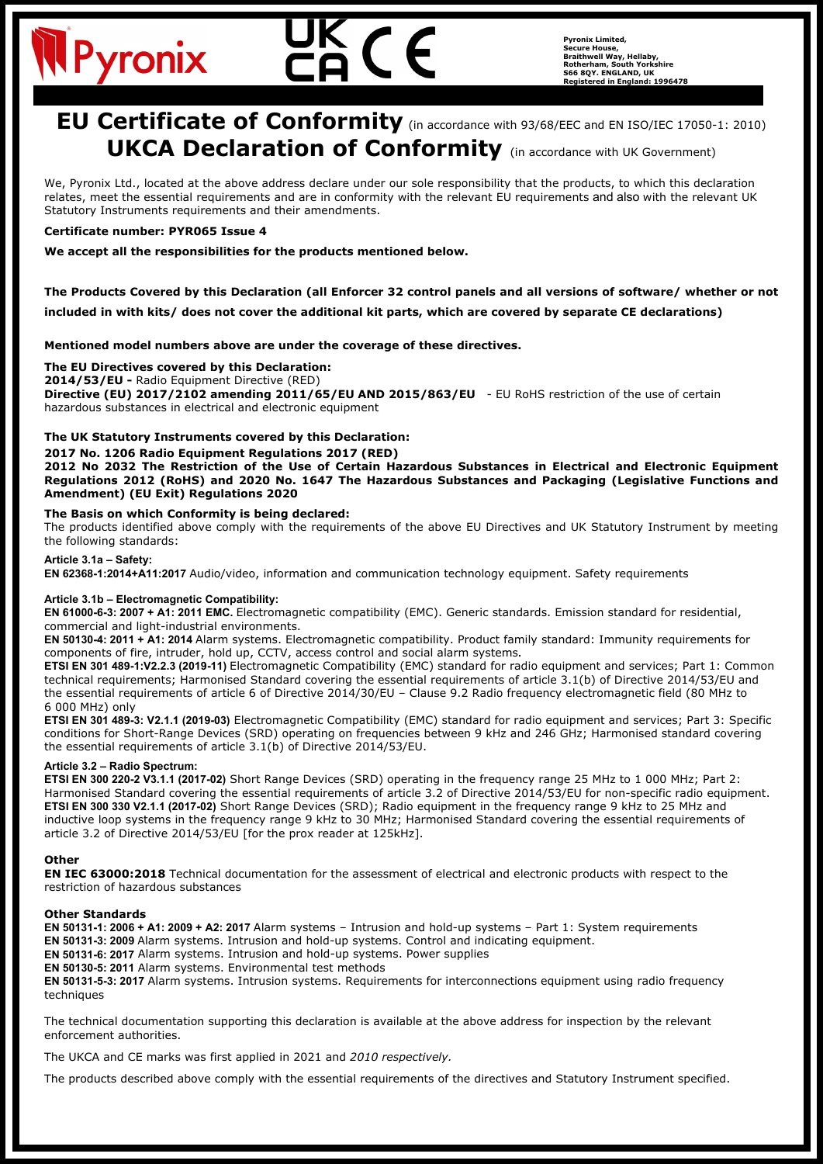# Pyronix

**Pyronix Limited, Secure House, Braithwell Way, Hellaby, Rotherham, South Yorkshire S66 8QY. ENGLAND, UK Registered in England: 1996478**

## **EU Certificate of Conformity** (in accordance with 93/68/EEC and EN ISO/IEC 17050-1: 2010) **UKCA Declaration of Conformity** (in accordance with UK Government)

We, Pyronix Ltd., located at the above address declare under our sole responsibility that the products, to which this declaration relates, meet the essential requirements and are in conformity with the relevant EU requirements and also with the relevant UK Statutory Instruments requirements and their amendments.

#### **Certificate number: PYR065 Issue 4**

**We accept all the responsibilities for the products mentioned below.**

### **The Products Covered by this Declaration (all Enforcer 32 control panels and all versions of software/ whether or not**

**included in with kits/ does not cover the additional kit parts, which are covered by separate CE declarations)**

**Mentioned model numbers above are under the coverage of these directives.**

#### **The EU Directives covered by this Declaration:**

**2014/53/EU -** Radio Equipment Directive (RED)

**Directive (EU) 2017/2102 amending 2011/65/EU AND 2015/863/EU** - EU RoHS restriction of the use of certain hazardous substances in electrical and electronic equipment

#### **The UK Statutory Instruments covered by this Declaration:**

#### **2017 No. 1206 Radio Equipment Regulations 2017 (RED)**

**2012 No 2032 The Restriction of the Use of Certain Hazardous Substances in Electrical and Electronic Equipment Regulations 2012 (RoHS) and 2020 No. 1647 The Hazardous Substances and Packaging (Legislative Functions and Amendment) (EU Exit) Regulations 2020**

#### **The Basis on which Conformity is being declared:**

The products identified above comply with the requirements of the above EU Directives and UK Statutory Instrument by meeting the following standards:

#### **Article 3.1a – Safety:**

**EN 62368-1:2014+A11:2017** Audio/video, information and communication technology equipment. Safety requirements

#### **Article 3.1b – Electromagnetic Compatibility:**

**EN 61000-6-3: 2007 + A1: 2011 EMC.** Electromagnetic compatibility (EMC). Generic standards. Emission standard for residential, commercial and light-industrial environments.

**EN 50130-4: 2011 + A1: 2014** Alarm systems. Electromagnetic compatibility. Product family standard: Immunity requirements for components of fire, intruder, hold up, CCTV, access control and social alarm systems**.**

**ETSI EN 301 489-1:V2.2.3 (2019-11)** Electromagnetic Compatibility (EMC) standard for radio equipment and services; Part 1: Common technical requirements; Harmonised Standard covering the essential requirements of article 3.1(b) of Directive 2014/53/EU and the essential requirements of article 6 of Directive 2014/30/EU – Clause 9.2 Radio frequency electromagnetic field (80 MHz to 6 000 MHz) only

**ETSI EN 301 489-3: V2.1.1 (2019-03)** Electromagnetic Compatibility (EMC) standard for radio equipment and services; Part 3: Specific conditions for Short-Range Devices (SRD) operating on frequencies between 9 kHz and 246 GHz; Harmonised standard covering the essential requirements of article 3.1(b) of Directive 2014/53/EU.

#### **Article 3.2 – Radio Spectrum:**

**ETSI EN 300 220-2 V3.1.1 (2017-02)** Short Range Devices (SRD) operating in the frequency range 25 MHz to 1 000 MHz; Part 2: Harmonised Standard covering the essential requirements of article 3.2 of Directive 2014/53/EU for non-specific radio equipment. **ETSI EN 300 330 V2.1.1 (2017-02)** Short Range Devices (SRD); Radio equipment in the frequency range 9 kHz to 25 MHz and inductive loop systems in the frequency range 9 kHz to 30 MHz; Harmonised Standard covering the essential requirements of article 3.2 of Directive 2014/53/EU [for the prox reader at 125kHz].

#### **Other**

**EN IEC 63000:2018** Technical documentation for the assessment of electrical and electronic products with respect to the restriction of hazardous substances

#### **Other Standards**

**EN 50131-1: 2006 + A1: 2009 + A2: 2017** Alarm systems – Intrusion and hold-up systems – Part 1: System requirements **EN 50131-3: 2009** Alarm systems. Intrusion and hold-up systems. Control and indicating equipment. **EN 50131-6: 2017** Alarm systems. Intrusion and hold-up systems. Power supplies **EN 50130-5: 2011** Alarm systems. Environmental test methods **EN 50131-5-3: 2017** Alarm systems. Intrusion systems. Requirements for interconnections equipment using radio frequency techniques

The technical documentation supporting this declaration is available at the above address for inspection by the relevant enforcement authorities.

The UKCA and CE marks was first applied in 2021 and *2010 respectively.*

The products described above comply with the essential requirements of the directives and Statutory Instrument specified.